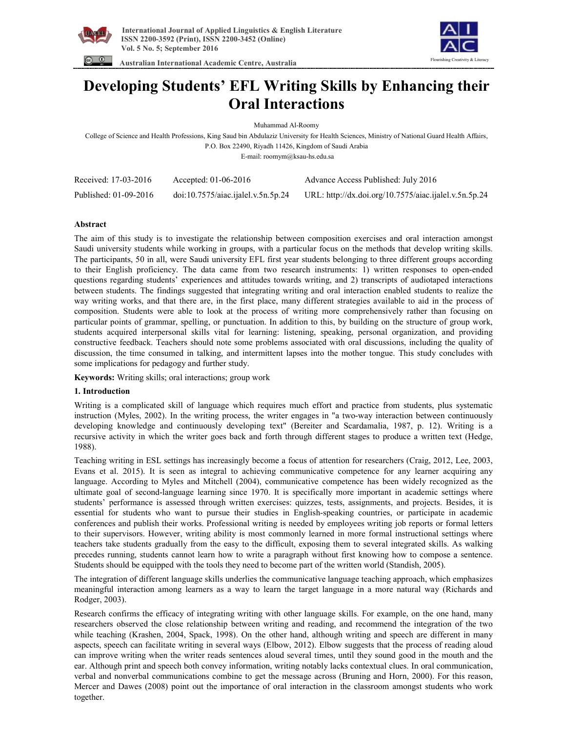



 **Australian International Academic Centre, Australia** 

# **Developing Students' EFL Writing Skills by Enhancing their Oral Interactions**

Muhammad Al-Roomy

College of Science and Health Professions, King Saud bin Abdulaziz University for Health Sciences, Ministry of National Guard Health Affairs, P.O. Box 22490, Riyadh 11426, Kingdom of Saudi Arabia E-mail: roomym@ksau-hs.edu.sa

| Received: 17-03-2016  | Accepted: $01-06-2016$             | Advance Access Published: July 2016                   |
|-----------------------|------------------------------------|-------------------------------------------------------|
| Published: 01-09-2016 | doi:10.7575/aiac.ijalel.v.5n.5p.24 | URL: http://dx.doi.org/10.7575/aiac.ijalel.v.5n.5p.24 |

# **Abstract**

The aim of this study is to investigate the relationship between composition exercises and oral interaction amongst Saudi university students while working in groups, with a particular focus on the methods that develop writing skills. The participants, 50 in all, were Saudi university EFL first year students belonging to three different groups according to their English proficiency. The data came from two research instruments: 1) written responses to open-ended questions regarding students' experiences and attitudes towards writing, and 2) transcripts of audiotaped interactions between students. The findings suggested that integrating writing and oral interaction enabled students to realize the way writing works, and that there are, in the first place, many different strategies available to aid in the process of composition. Students were able to look at the process of writing more comprehensively rather than focusing on particular points of grammar, spelling, or punctuation. In addition to this, by building on the structure of group work, students acquired interpersonal skills vital for learning: listening, speaking, personal organization, and providing constructive feedback. Teachers should note some problems associated with oral discussions, including the quality of discussion, the time consumed in talking, and intermittent lapses into the mother tongue. This study concludes with some implications for pedagogy and further study.

**Keywords:** Writing skills; oral interactions; group work

# **1. Introduction**

Writing is a complicated skill of language which requires much effort and practice from students, plus systematic instruction (Myles, 2002). In the writing process, the writer engages in "a two-way interaction between continuously developing knowledge and continuously developing text" (Bereiter and Scardamalia, 1987, p. 12). Writing is a recursive activity in which the writer goes back and forth through different stages to produce a written text (Hedge, 1988).

Teaching writing in ESL settings has increasingly become a focus of attention for researchers (Craig, 2012, Lee, 2003, Evans et al. 2015). It is seen as integral to achieving communicative competence for any learner acquiring any language. According to Myles and Mitchell (2004), communicative competence has been widely recognized as the ultimate goal of second-language learning since 1970. It is specifically more important in academic settings where students' performance is assessed through written exercises: quizzes, tests, assignments, and projects. Besides, it is essential for students who want to pursue their studies in English-speaking countries, or participate in academic conferences and publish their works. Professional writing is needed by employees writing job reports or formal letters to their supervisors. However, writing ability is most commonly learned in more formal instructional settings where teachers take students gradually from the easy to the difficult, exposing them to several integrated skills. As walking precedes running, students cannot learn how to write a paragraph without first knowing how to compose a sentence. Students should be equipped with the tools they need to become part of the written world (Standish, 2005).

The integration of different language skills underlies the communicative language teaching approach, which emphasizes meaningful interaction among learners as a way to learn the target language in a more natural way (Richards and Rodger, 2003).

Research confirms the efficacy of integrating writing with other language skills. For example, on the one hand, many researchers observed the close relationship between writing and reading, and recommend the integration of the two while teaching (Krashen, 2004, Spack, 1998). On the other hand, although writing and speech are different in many aspects, speech can facilitate writing in several ways (Elbow, 2012). Elbow suggests that the process of reading aloud can improve writing when the writer reads sentences aloud several times, until they sound good in the mouth and the ear. Although print and speech both convey information, writing notably lacks contextual clues. In oral communication, verbal and nonverbal communications combine to get the message across (Bruning and Horn, 2000). For this reason, Mercer and Dawes (2008) point out the importance of oral interaction in the classroom amongst students who work together.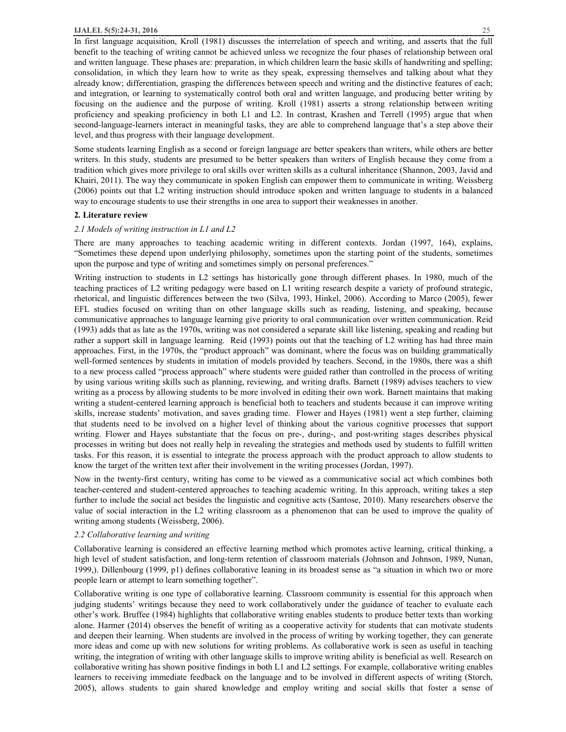#### **IJALEL 5(5):24-31, 2016** 25

In first language acquisition, Kroll (1981) discusses the interrelation of speech and writing, and asserts that the full benefit to the teaching of writing cannot be achieved unless we recognize the four phases of relationship between oral and written language. These phases are: preparation, in which children learn the basic skills of handwriting and spelling; consolidation, in which they learn how to write as they speak, expressing themselves and talking about what they already know; differentiation, grasping the differences between speech and writing and the distinctive features of each; and integration, or learning to systematically control both oral and written language, and producing better writing by focusing on the audience and the purpose of writing. Kroll (1981) asserts a strong relationship between writing proficiency and speaking proficiency in both L1 and L2. In contrast, Krashen and Terrell (1995) argue that when second-language-learners interact in meaningful tasks, they are able to comprehend language that's a step above their level, and thus progress with their language development.

Some students learning English as a second or foreign language are better speakers than writers, while others are better writers. In this study, students are presumed to be better speakers than writers of English because they come from a tradition which gives more privilege to oral skills over written skills as a cultural inheritance (Shannon, 2003, Javid and Khairi, 2011). The way they communicate in spoken English can empower them to communicate in writing. Weissberg (2006) points out that L2 writing instruction should introduce spoken and written language to students in a balanced way to encourage students to use their strengths in one area to support their weaknesses in another.

## **2. Literature review**

## *2.1 Models of writing instruction in L1 and L2*

There are many approaches to teaching academic writing in different contexts. Jordan (1997, 164), explains, "Sometimes these depend upon underlying philosophy, sometimes upon the starting point of the students, sometimes upon the purpose and type of writing and sometimes simply on personal preferences."

Writing instruction to students in L2 settings has historically gone through different phases. In 1980, much of the teaching practices of L2 writing pedagogy were based on L1 writing research despite a variety of profound strategic, rhetorical, and linguistic differences between the two (Silva, 1993, Hinkel, 2006). According to Marco (2005), fewer EFL studies focused on writing than on other language skills such as reading, listening, and speaking, because communicative approaches to language learning give priority to oral communication over written communication. Reid (1993) adds that as late as the 1970s, writing was not considered a separate skill like listening, speaking and reading but rather a support skill in language learning. Reid (1993) points out that the teaching of L2 writing has had three main approaches. First, in the 1970s, the "product approach" was dominant, where the focus was on building grammatically well-formed sentences by students in imitation of models provided by teachers. Second, in the 1980s, there was a shift to a new process called "process approach" where students were guided rather than controlled in the process of writing by using various writing skills such as planning, reviewing, and writing drafts. Barnett (1989) advises teachers to view writing as a process by allowing students to be more involved in editing their own work. Barnett maintains that making writing a student-centered learning approach is beneficial both to teachers and students because it can improve writing skills, increase students' motivation, and saves grading time. Flower and Hayes (1981) went a step further, claiming that students need to be involved on a higher level of thinking about the various cognitive processes that support writing. Flower and Hayes substantiate that the focus on pre-, during-, and post-writing stages describes physical processes in writing but does not really help in revealing the strategies and methods used by students to fulfill written tasks. For this reason, it is essential to integrate the process approach with the product approach to allow students to know the target of the written text after their involvement in the writing processes (Jordan, 1997).

Now in the twenty-first century, writing has come to be viewed as a communicative social act which combines both teacher-centered and student-centered approaches to teaching academic writing. In this approach, writing takes a step further to include the social act besides the linguistic and cognitive acts (Santose, 2010). Many researchers observe the value of social interaction in the L2 writing classroom as a phenomenon that can be used to improve the quality of writing among students (Weissberg, 2006).

## *2.2 Collaborative learning and writing*

Collaborative learning is considered an effective learning method which promotes active learning, critical thinking, a high level of student satisfaction, and long-term retention of classroom materials (Johnson and Johnson, 1989, Nunan, 1999,). Dillenbourg (1999, p1) defines collaborative leaning in its broadest sense as "a situation in which two or more people learn or attempt to learn something together".

Collaborative writing is one type of collaborative learning. Classroom community is essential for this approach when judging students' writings because they need to work collaboratively under the guidance of teacher to evaluate each other's work. Bruffee (1984) highlights that collaborative writing enables students to produce better texts than working alone. Harmer (2014) observes the benefit of writing as a cooperative activity for students that can motivate students and deepen their learning. When students are involved in the process of writing by working together, they can generate more ideas and come up with new solutions for writing problems. As collaborative work is seen as useful in teaching writing, the integration of writing with other language skills to improve writing ability is beneficial as well. Research on collaborative writing has shown positive findings in both L1 and L2 settings. For example, collaborative writing enables learners to receiving immediate feedback on the language and to be involved in different aspects of writing (Storch, 2005), allows students to gain shared knowledge and employ writing and social skills that foster a sense of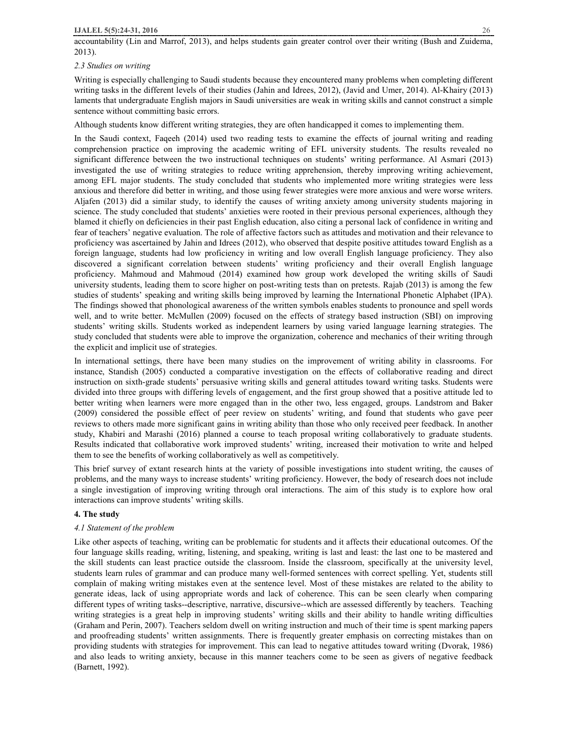# *2.3 Studies on writing*

Writing is especially challenging to Saudi students because they encountered many problems when completing different writing tasks in the different levels of their studies (Jahin and Idrees, 2012), (Javid and Umer, 2014). Al-Khairy (2013) laments that undergraduate English majors in Saudi universities are weak in writing skills and cannot construct a simple sentence without committing basic errors.

Although students know different writing strategies, they are often handicapped it comes to implementing them.

In the Saudi context, Faqeeh (2014) used two reading tests to examine the effects of journal writing and reading comprehension practice on improving the academic writing of EFL university students. The results revealed no significant difference between the two instructional techniques on students' writing performance. Al Asmari (2013) investigated the use of writing strategies to reduce writing apprehension, thereby improving writing achievement, among EFL major students. The study concluded that students who implemented more writing strategies were less anxious and therefore did better in writing, and those using fewer strategies were more anxious and were worse writers. Aljafen (2013) did a similar study, to identify the causes of writing anxiety among university students majoring in science. The study concluded that students' anxieties were rooted in their previous personal experiences, although they blamed it chiefly on deficiencies in their past English education, also citing a personal lack of confidence in writing and fear of teachers' negative evaluation. The role of affective factors such as attitudes and motivation and their relevance to proficiency was ascertained by Jahin and Idrees (2012), who observed that despite positive attitudes toward English as a foreign language, students had low proficiency in writing and low overall English language proficiency. They also discovered a significant correlation between students' writing proficiency and their overall English language proficiency. Mahmoud and Mahmoud (2014) examined how group work developed the writing skills of Saudi university students, leading them to score higher on post-writing tests than on pretests. Rajab (2013) is among the few studies of students' speaking and writing skills being improved by learning the International Phonetic Alphabet (IPA). The findings showed that phonological awareness of the written symbols enables students to pronounce and spell words well, and to write better. McMullen (2009) focused on the effects of strategy based instruction (SBI) on improving students' writing skills. Students worked as independent learners by using varied language learning strategies. The study concluded that students were able to improve the organization, coherence and mechanics of their writing through the explicit and implicit use of strategies.

In international settings, there have been many studies on the improvement of writing ability in classrooms. For instance, Standish (2005) conducted a comparative investigation on the effects of collaborative reading and direct instruction on sixth-grade students' persuasive writing skills and general attitudes toward writing tasks. Students were divided into three groups with differing levels of engagement, and the first group showed that a positive attitude led to better writing when learners were more engaged than in the other two, less engaged, groups. Landstrom and Baker (2009) considered the possible effect of peer review on students' writing, and found that students who gave peer reviews to others made more significant gains in writing ability than those who only received peer feedback. In another study, Khabiri and Marashi (2016) planned a course to teach proposal writing collaboratively to graduate students. Results indicated that collaborative work improved students' writing, increased their motivation to write and helped them to see the benefits of working collaboratively as well as competitively.

This brief survey of extant research hints at the variety of possible investigations into student writing, the causes of problems, and the many ways to increase students' writing proficiency. However, the body of research does not include a single investigation of improving writing through oral interactions. The aim of this study is to explore how oral interactions can improve students' writing skills.

# **4. The study**

# *4.1 Statement of the problem*

Like other aspects of teaching, writing can be problematic for students and it affects their educational outcomes. Of the four language skills reading, writing, listening, and speaking, writing is last and least: the last one to be mastered and the skill students can least practice outside the classroom. Inside the classroom, specifically at the university level, students learn rules of grammar and can produce many well-formed sentences with correct spelling. Yet, students still complain of making writing mistakes even at the sentence level. Most of these mistakes are related to the ability to generate ideas, lack of using appropriate words and lack of coherence. This can be seen clearly when comparing different types of writing tasks--descriptive, narrative, discursive--which are assessed differently by teachers. Teaching writing strategies is a great help in improving students' writing skills and their ability to handle writing difficulties (Graham and Perin, 2007). Teachers seldom dwell on writing instruction and much of their time is spent marking papers and proofreading students' written assignments. There is frequently greater emphasis on correcting mistakes than on providing students with strategies for improvement. This can lead to negative attitudes toward writing (Dvorak, 1986) and also leads to writing anxiety, because in this manner teachers come to be seen as givers of negative feedback (Barnett, 1992).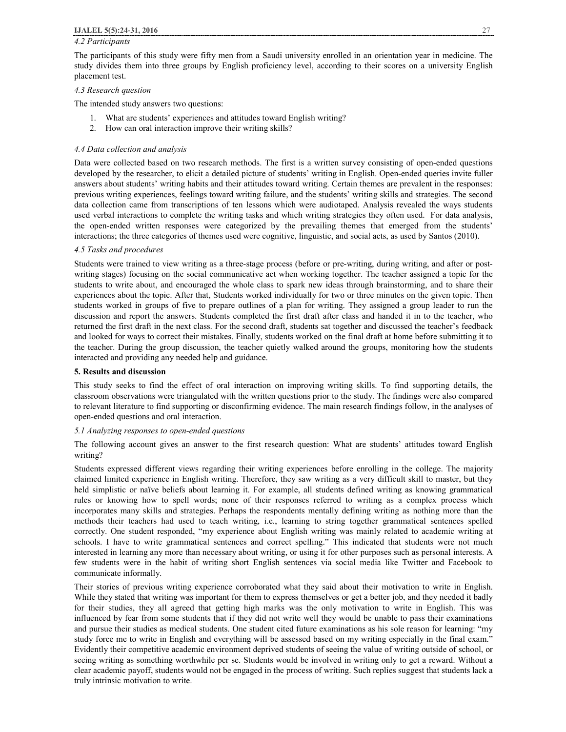#### *4.2 Participants*

The participants of this study were fifty men from a Saudi university enrolled in an orientation year in medicine. The study divides them into three groups by English proficiency level, according to their scores on a university English placement test.

# *4.3 Research question*

The intended study answers two questions:

- 1. What are students' experiences and attitudes toward English writing?
- 2. How can oral interaction improve their writing skills?

#### *4.4 Data collection and analysis*

Data were collected based on two research methods. The first is a written survey consisting of open-ended questions developed by the researcher, to elicit a detailed picture of students' writing in English. Open-ended queries invite fuller answers about students' writing habits and their attitudes toward writing. Certain themes are prevalent in the responses: previous writing experiences, feelings toward writing failure, and the students' writing skills and strategies. The second data collection came from transcriptions of ten lessons which were audiotaped. Analysis revealed the ways students used verbal interactions to complete the writing tasks and which writing strategies they often used. For data analysis, the open-ended written responses were categorized by the prevailing themes that emerged from the students' interactions; the three categories of themes used were cognitive, linguistic, and social acts, as used by Santos (2010).

#### *4.5 Tasks and procedures*

Students were trained to view writing as a three-stage process (before or pre-writing, during writing, and after or postwriting stages) focusing on the social communicative act when working together. The teacher assigned a topic for the students to write about, and encouraged the whole class to spark new ideas through brainstorming, and to share their experiences about the topic. After that, Students worked individually for two or three minutes on the given topic. Then students worked in groups of five to prepare outlines of a plan for writing. They assigned a group leader to run the discussion and report the answers. Students completed the first draft after class and handed it in to the teacher, who returned the first draft in the next class. For the second draft, students sat together and discussed the teacher's feedback and looked for ways to correct their mistakes. Finally, students worked on the final draft at home before submitting it to the teacher. During the group discussion, the teacher quietly walked around the groups, monitoring how the students interacted and providing any needed help and guidance.

#### **5. Results and discussion**

This study seeks to find the effect of oral interaction on improving writing skills. To find supporting details, the classroom observations were triangulated with the written questions prior to the study. The findings were also compared to relevant literature to find supporting or disconfirming evidence. The main research findings follow, in the analyses of open-ended questions and oral interaction.

#### *5.1 Analyzing responses to open-ended questions*

The following account gives an answer to the first research question: What are students' attitudes toward English writing?

Students expressed different views regarding their writing experiences before enrolling in the college. The majority claimed limited experience in English writing. Therefore, they saw writing as a very difficult skill to master, but they held simplistic or naïve beliefs about learning it. For example, all students defined writing as knowing grammatical rules or knowing how to spell words; none of their responses referred to writing as a complex process which incorporates many skills and strategies. Perhaps the respondents mentally defining writing as nothing more than the methods their teachers had used to teach writing, i.e., learning to string together grammatical sentences spelled correctly. One student responded, "my experience about English writing was mainly related to academic writing at schools. I have to write grammatical sentences and correct spelling." This indicated that students were not much interested in learning any more than necessary about writing, or using it for other purposes such as personal interests. A few students were in the habit of writing short English sentences via social media like Twitter and Facebook to communicate informally.

Their stories of previous writing experience corroborated what they said about their motivation to write in English. While they stated that writing was important for them to express themselves or get a better job, and they needed it badly for their studies, they all agreed that getting high marks was the only motivation to write in English. This was influenced by fear from some students that if they did not write well they would be unable to pass their examinations and pursue their studies as medical students. One student cited future examinations as his sole reason for learning: "my study force me to write in English and everything will be assessed based on my writing especially in the final exam." Evidently their competitive academic environment deprived students of seeing the value of writing outside of school, or seeing writing as something worthwhile per se. Students would be involved in writing only to get a reward. Without a clear academic payoff, students would not be engaged in the process of writing. Such replies suggest that students lack a truly intrinsic motivation to write.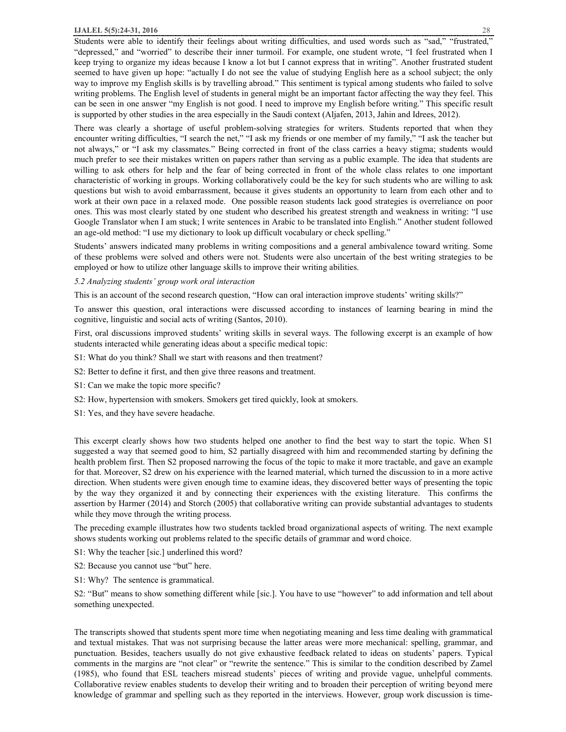#### **IJALEL 5(5):24-31, 2016** 28

Students were able to identify their feelings about writing difficulties, and used words such as "sad," "frustrated," "depressed," and "worried" to describe their inner turmoil. For example, one student wrote, "I feel frustrated when I keep trying to organize my ideas because I know a lot but I cannot express that in writing". Another frustrated student seemed to have given up hope: "actually I do not see the value of studying English here as a school subject; the only way to improve my English skills is by travelling abroad." This sentiment is typical among students who failed to solve writing problems. The English level of students in general might be an important factor affecting the way they feel. This can be seen in one answer "my English is not good. I need to improve my English before writing." This specific result is supported by other studies in the area especially in the Saudi context (Aljafen, 2013, Jahin and Idrees, 2012).

There was clearly a shortage of useful problem-solving strategies for writers. Students reported that when they encounter writing difficulties, "I search the net," "I ask my friends or one member of my family," "I ask the teacher but not always," or "I ask my classmates." Being corrected in front of the class carries a heavy stigma; students would much prefer to see their mistakes written on papers rather than serving as a public example. The idea that students are willing to ask others for help and the fear of being corrected in front of the whole class relates to one important characteristic of working in groups. Working collaboratively could be the key for such students who are willing to ask questions but wish to avoid embarrassment, because it gives students an opportunity to learn from each other and to work at their own pace in a relaxed mode. One possible reason students lack good strategies is overreliance on poor ones. This was most clearly stated by one student who described his greatest strength and weakness in writing: "I use Google Translator when I am stuck; I write sentences in Arabic to be translated into English." Another student followed an age-old method: "I use my dictionary to look up difficult vocabulary or check spelling."

Students' answers indicated many problems in writing compositions and a general ambivalence toward writing. Some of these problems were solved and others were not. Students were also uncertain of the best writing strategies to be employed or how to utilize other language skills to improve their writing abilities.

*5.2 Analyzing students' group work oral interaction* 

This is an account of the second research question, "How can oral interaction improve students' writing skills?"

To answer this question, oral interactions were discussed according to instances of learning bearing in mind the cognitive, linguistic and social acts of writing (Santos, 2010).

First, oral discussions improved students' writing skills in several ways. The following excerpt is an example of how students interacted while generating ideas about a specific medical topic:

- S1: What do you think? Shall we start with reasons and then treatment?
- S2: Better to define it first, and then give three reasons and treatment.
- S1: Can we make the topic more specific?
- S2: How, hypertension with smokers. Smokers get tired quickly, look at smokers.
- S1: Yes, and they have severe headache.

This excerpt clearly shows how two students helped one another to find the best way to start the topic. When S1 suggested a way that seemed good to him, S2 partially disagreed with him and recommended starting by defining the health problem first. Then S2 proposed narrowing the focus of the topic to make it more tractable, and gave an example for that. Moreover, S2 drew on his experience with the learned material, which turned the discussion to in a more active direction. When students were given enough time to examine ideas, they discovered better ways of presenting the topic by the way they organized it and by connecting their experiences with the existing literature. This confirms the assertion by Harmer (2014) and Storch (2005) that collaborative writing can provide substantial advantages to students while they move through the writing process.

The preceding example illustrates how two students tackled broad organizational aspects of writing. The next example shows students working out problems related to the specific details of grammar and word choice.

- S1: Why the teacher [sic.] underlined this word?
- S2: Because you cannot use "but" here.
- S1: Why? The sentence is grammatical.

S2: "But" means to show something different while [sic.]. You have to use "however" to add information and tell about something unexpected.

The transcripts showed that students spent more time when negotiating meaning and less time dealing with grammatical and textual mistakes. That was not surprising because the latter areas were more mechanical: spelling, grammar, and punctuation. Besides, teachers usually do not give exhaustive feedback related to ideas on students' papers. Typical comments in the margins are "not clear" or "rewrite the sentence." This is similar to the condition described by Zamel (1985), who found that ESL teachers misread students' pieces of writing and provide vague, unhelpful comments. Collaborative review enables students to develop their writing and to broaden their perception of writing beyond mere knowledge of grammar and spelling such as they reported in the interviews. However, group work discussion is time-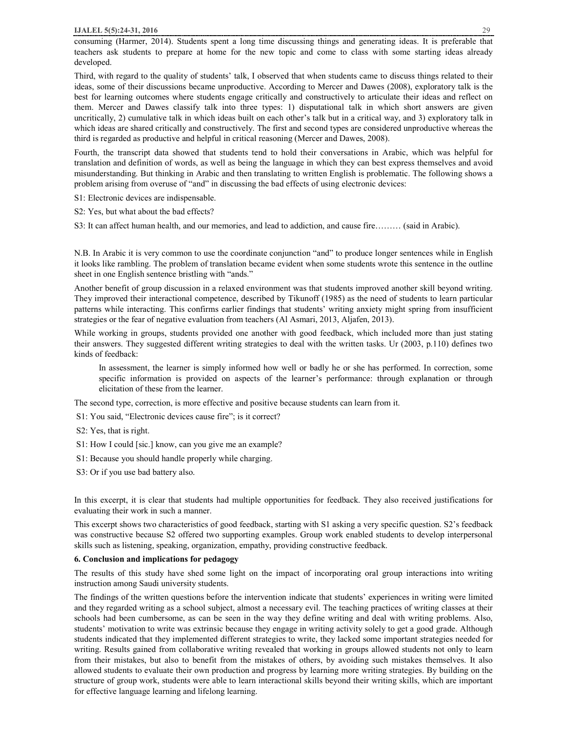Third, with regard to the quality of students' talk, I observed that when students came to discuss things related to their ideas, some of their discussions became unproductive. According to Mercer and Dawes (2008), exploratory talk is the best for learning outcomes where students engage critically and constructively to articulate their ideas and reflect on them. Mercer and Dawes classify talk into three types: 1) disputational talk in which short answers are given uncritically, 2) cumulative talk in which ideas built on each other's talk but in a critical way, and 3) exploratory talk in which ideas are shared critically and constructively. The first and second types are considered unproductive whereas the third is regarded as productive and helpful in critical reasoning (Mercer and Dawes, 2008).

Fourth, the transcript data showed that students tend to hold their conversations in Arabic, which was helpful for translation and definition of words, as well as being the language in which they can best express themselves and avoid misunderstanding. But thinking in Arabic and then translating to written English is problematic. The following shows a problem arising from overuse of "and" in discussing the bad effects of using electronic devices:

S1: Electronic devices are indispensable.

S2: Yes, but what about the bad effects?

S3: It can affect human health, and our memories, and lead to addiction, and cause fire……… (said in Arabic).

N.B. In Arabic it is very common to use the coordinate conjunction "and" to produce longer sentences while in English it looks like rambling. The problem of translation became evident when some students wrote this sentence in the outline sheet in one English sentence bristling with "ands."

Another benefit of group discussion in a relaxed environment was that students improved another skill beyond writing. They improved their interactional competence, described by Tikunoff (1985) as the need of students to learn particular patterns while interacting. This confirms earlier findings that students' writing anxiety might spring from insufficient strategies or the fear of negative evaluation from teachers (Al Asmari, 2013, Aljafen, 2013).

While working in groups, students provided one another with good feedback, which included more than just stating their answers. They suggested different writing strategies to deal with the written tasks. Ur (2003, p.110) defines two kinds of feedback:

In assessment, the learner is simply informed how well or badly he or she has performed. In correction, some specific information is provided on aspects of the learner's performance: through explanation or through elicitation of these from the learner.

The second type, correction, is more effective and positive because students can learn from it.

S1: You said, "Electronic devices cause fire"; is it correct?

S2: Yes, that is right.

S1: How I could [sic.] know, can you give me an example?

S1: Because you should handle properly while charging.

S3: Or if you use bad battery also.

In this excerpt, it is clear that students had multiple opportunities for feedback. They also received justifications for evaluating their work in such a manner.

This excerpt shows two characteristics of good feedback, starting with S1 asking a very specific question. S2's feedback was constructive because S2 offered two supporting examples. Group work enabled students to develop interpersonal skills such as listening, speaking, organization, empathy, providing constructive feedback.

## **6. Conclusion and implications for pedagogy**

The results of this study have shed some light on the impact of incorporating oral group interactions into writing instruction among Saudi university students.

The findings of the written questions before the intervention indicate that students' experiences in writing were limited and they regarded writing as a school subject, almost a necessary evil. The teaching practices of writing classes at their schools had been cumbersome, as can be seen in the way they define writing and deal with writing problems. Also, students' motivation to write was extrinsic because they engage in writing activity solely to get a good grade. Although students indicated that they implemented different strategies to write, they lacked some important strategies needed for writing. Results gained from collaborative writing revealed that working in groups allowed students not only to learn from their mistakes, but also to benefit from the mistakes of others, by avoiding such mistakes themselves. It also allowed students to evaluate their own production and progress by learning more writing strategies. By building on the structure of group work, students were able to learn interactional skills beyond their writing skills, which are important for effective language learning and lifelong learning.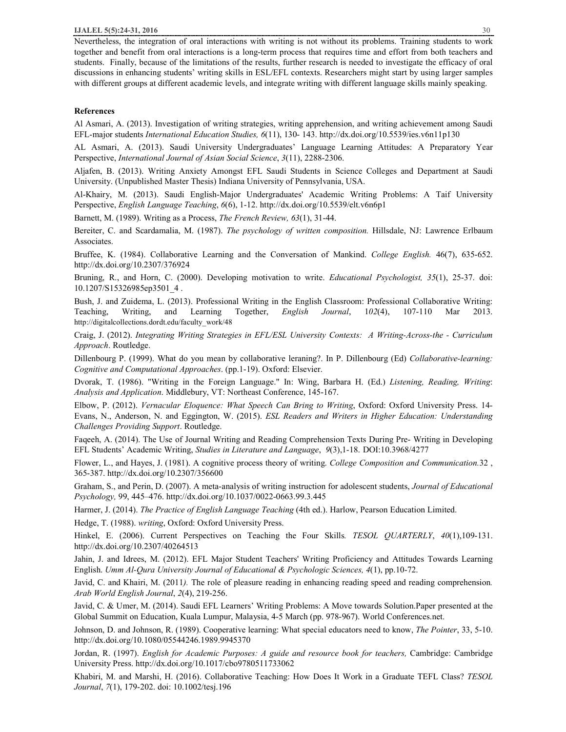Nevertheless, the integration of oral interactions with writing is not without its problems. Training students to work together and benefit from oral interactions is a long-term process that requires time and effort from both teachers and students. Finally, because of the limitations of the results, further research is needed to investigate the efficacy of oral discussions in enhancing students' writing skills in ESL/EFL contexts. Researchers might start by using larger samples with different groups at different academic levels, and integrate writing with different language skills mainly speaking.

# **References**

Al Asmari, A. (2013). Investigation of writing strategies, writing apprehension, and writing achievement among Saudi EFL-major students *International Education Studies, 6*(11), 130- 143. http://dx.doi.org/10.5539/ies.v6n11p130

AL Asmari, A. (2013). Saudi University Undergraduates' Language Learning Attitudes: A Preparatory Year Perspective, *International Journal of Asian Social Science*, *3*(11), 2288-2306.

Aljafen, B. (2013). Writing Anxiety Amongst EFL Saudi Students in Science Colleges and Department at Saudi University. (Unpublished Master Thesis) Indiana University of Pennsylvania, USA.

Al-Khairy, M. (2013). Saudi English-Major Undergraduates' Academic Writing Problems: A Taif University Perspective, *English Language Teaching*, *6*(6), 1-12. http://dx.doi.org/10.5539/elt.v6n6p1

Barnett, M. (1989). Writing as a Process, *The French Review, 63*(1), 31-44.

Bereiter, C. and Scardamalia, M. (1987). *The psychology of written composition.* Hillsdale, NJ: Lawrence Erlbaum Associates.

Bruffee, K. (1984). Collaborative Learning and the Conversation of Mankind. *College English.* 46(7), 635-652. http://dx.doi.org/10.2307/376924

Bruning, R., and Horn, C. (2000). Developing motivation to write. *Educational Psychologist, 35*(1), 25-37. doi: 10.1207/S15326985ep3501\_4 .

Bush, J. and Zuidema, L. (2013). Professional Writing in the English Classroom: Professional Collaborative Writing: Teaching, Writing, and Learning Together, *English Journal*, 1*02*(4), 107-110 Mar 2013. http://digitalcollections.dordt.edu/faculty\_work/48

Craig, J. (2012). *Integrating Writing Strategies in EFL/ESL University Contexts: A Writing-Across-the - Curriculum Approach*. Routledge.

Dillenbourg P. (1999). What do you mean by collaborative leraning?. In P. Dillenbourg (Ed) *Collaborative-learning: Cognitive and Computational Approaches*. (pp.1-19). Oxford: Elsevier.

Dvorak, T. (1986). "Writing in the Foreign Language." In: Wing, Barbara H. (Ed.) *Listening, Reading, Writing*: *Analysis and Application*. Middlebury, VT: Northeast Conference, 145-167.

Elbow, P. (2012). *Vernacular Eloquence: What Speech Can Bring to Writing*, Oxford: Oxford University Press. 14- Evans, N., Anderson, N. and Eggington, W. (2015). *ESL Readers and Writers in Higher Education: Understanding Challenges Providing Support*. Routledge.

Faqeeh, A. (2014). The Use of Journal Writing and Reading Comprehension Texts During Pre- Writing in Developing EFL Students' Academic Writing, *Studies in Literature and Language*, *9*(3),1-18. DOI:10.3968/4277

Flower, L., and Hayes, J. (1981). A cognitive process theory of writing. *College Composition and Communication.*32 , 365-387. http://dx.doi.org/10.2307/356600

Graham, S., and Perin, D. (2007). A meta-analysis of writing instruction for adolescent students, *Journal of Educational Psychology,* 99, 445–476. http://dx.doi.org/10.1037/0022-0663.99.3.445

Harmer, J. (2014). *The Practice of English Language Teaching* (4th ed.). Harlow, Pearson Education Limited.

Hedge, T. (1988). *writing*, Oxford: Oxford University Press.

Hinkel, E. (2006). Current Perspectives on Teaching the Four Skills*. TESOL QUARTERLY*, *40*(1),109-131. http://dx.doi.org/10.2307/40264513

Jahin, J. and Idrees, M. (2012). EFL Major Student Teachers' Writing Proficiency and Attitudes Towards Learning English. *Umm Al-Qura University Journal of Educational & Psychologic Sciences, 4*(1), pp.10-72.

Javid, C. and Khairi, M. (2011*).* The role of pleasure reading in enhancing reading speed and reading comprehension*. Arab World English Journal*, *2*(4), 219-256.

Javid, C. & Umer, M. (2014). Saudi EFL Learners' Writing Problems: A Move towards Solution.Paper presented at the Global Summit on Education, Kuala Lumpur, Malaysia, 4-5 March (pp. 978-967). World Conferences.net.

Johnson, D. and Johnson, R. (1989). Cooperative learning: What special educators need to know, *The Pointer*, 33, 5-10. http://dx.doi.org/10.1080/05544246.1989.9945370

Jordan, R. (1997). *English for Academic Purposes: A guide and resource book for teachers,* Cambridge: Cambridge University Press. http://dx.doi.org/10.1017/cbo9780511733062

Khabiri, M. and Marshi, H. (2016). Collaborative Teaching: How Does It Work in a Graduate TEFL Class? *TESOL Journal*, *7*(1), 179-202. doi: 10.1002/tesj.196